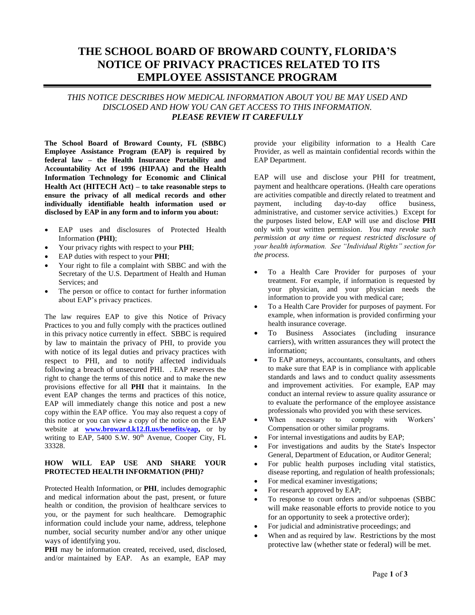# **THE SCHOOL BOARD OF BROWARD COUNTY, FLORIDA'S NOTICE OF PRIVACY PRACTICES RELATED TO ITS EMPLOYEE ASSISTANCE PROGRAM**

*THIS NOTICE DESCRIBES HOW MEDICAL INFORMATION ABOUT YOU BE MAY USED AND DISCLOSED AND HOW YOU CAN GET ACCESS TO THIS INFORMATION. PLEASE REVIEW IT CAREFULLY*

**The School Board of Broward County, FL (SBBC) Employee Assistance Program (EAP) is required by federal law – the Health Insurance Portability and Accountability Act of 1996 (HIPAA) and the Health Information Technology for Economic and Clinical Health Act (HITECH Act) – to take reasonable steps to ensure the privacy of all medical records and other individually identifiable health information used or disclosed by EAP in any form and to inform you about:**

- EAP uses and disclosures of Protected Health Information **(PHI)**;
- Your privacy rights with respect to your **PHI**;
- EAP duties with respect to your **PHI**;
- Your right to file a complaint with SBBC and with the Secretary of the U.S. Department of Health and Human Services; and
- The person or office to contact for further information about EAP's privacy practices.

The law requires EAP to give this Notice of Privacy Practices to you and fully comply with the practices outlined in this privacy notice currently in effect. SBBC is required by law to maintain the privacy of PHI, to provide you with notice of its legal duties and privacy practices with respect to PHI, and to notify affected individuals following a breach of unsecured PHI. . EAP reserves the right to change the terms of this notice and to make the new provisions effective for all **PHI** that it maintains. In the event EAP changes the terms and practices of this notice, EAP will immediately change this notice and post a new copy within the EAP office. You may also request a copy of this notice or you can view a copy of the notice on the EAP website at **www.broward.k12.fl.us/benefits/eap,** or by writing to EAP, 5400 S.W. 90<sup>th</sup> Avenue, Cooper City, FL 33328.

## **HOW WILL EAP USE AND SHARE YOUR PROTECTED HEALTH INFORMATION (PHI)?**

Protected Health Information, or **PHI**, includes demographic and medical information about the past, present, or future health or condition, the provision of healthcare services to you, or the payment for such healthcare. Demographic information could include your name, address, telephone number, social security number and/or any other unique ways of identifying you.

**PHI** may be information created, received, used, disclosed, and/or maintained by EAP. As an example, EAP may provide your eligibility information to a Health Care Provider, as well as maintain confidential records within the EAP Department.

EAP will use and disclose your PHI for treatment, payment and healthcare operations. (Health care operations are activities compatible and directly related to treatment and payment, including day-to-day office business, administrative, and customer service activities.) Except for the purposes listed below, EAP will use and disclose **PHI** only with your written permission. *You may revoke such permission at any time or request restricted disclosure of your health information. See "Individual Rights" section for the process.*

- To a Health Care Provider for purposes of your treatment. For example, if information is requested by your physician, and your physician needs the information to provide you with medical care;
- To a Health Care Provider for purposes of payment. For example, when information is provided confirming your health insurance coverage.
- To Business Associates (including insurance carriers), with written assurances they will protect the information;
- To EAP attorneys, accountants, consultants, and others to make sure that EAP is in compliance with applicable standards and laws and to conduct quality assessments and improvement activities. For example, EAP may conduct an internal review to assure quality assurance or to evaluate the performance of the employee assistance professionals who provided you with these services.
- When necessary to comply with Workers' Compensation or other similar programs.
- For internal investigations and audits by EAP;
- For investigations and audits by the State's Inspector General, Department of Education, or Auditor General;
- For public health purposes including vital statistics, disease reporting, and regulation of health professionals;
- For medical examiner investigations;
- For research approved by EAP;
- To response to court orders and/or subpoenas (SBBC will make reasonable efforts to provide notice to you for an opportunity to seek a protective order);
- For judicial and administrative proceedings; and
- When and as required by law. Restrictions by the most protective law (whether state or federal) will be met.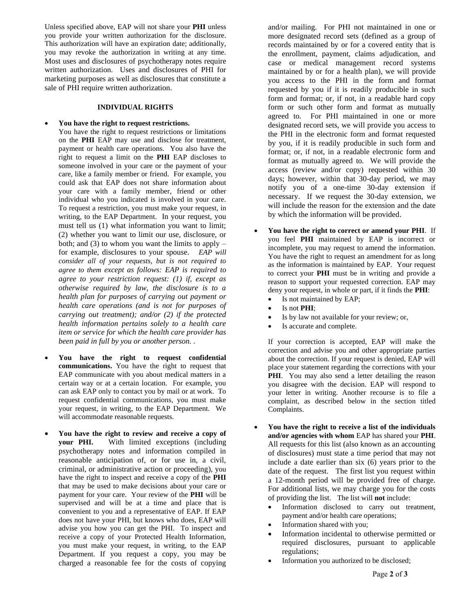Unless specified above, EAP will not share your **PHI** unless you provide your written authorization for the disclosure. This authorization will have an expiration date; additionally, you may revoke the authorization in writing at any time. Most uses and disclosures of psychotherapy notes require written authorization. Uses and disclosures of PHI for marketing purposes as well as disclosures that constitute a sale of PHI require written authorization.

#### **INDIVIDUAL RIGHTS**

#### • **You have the right to request restrictions.**

- You have the right to request restrictions or limitations on the **PHI** EAP may use and disclose for treatment, payment or health care operations. You also have the right to request a limit on the **PHI** EAP discloses to someone involved in your care or the payment of your care, like a family member or friend. For example, you could ask that EAP does not share information about your care with a family member, friend or other individual who you indicated is involved in your care. To request a restriction, you must make your request, in writing, to the EAP Department. In your request, you must tell us (1) what information you want to limit; (2) whether you want to limit our use, disclosure, or both; and (3) to whom you want the limits to apply  $$ for example, disclosures to your spouse. *EAP will consider all of your requests, but is not required to agree to them except as follows: EAP is required to agree to your restriction request: (1) if, except as otherwise required by law, the disclosure is to a health plan for purposes of carrying out payment or health care operations (and is not for purposes of carrying out treatment); and/or (2) if the protected health information pertains solely to a health care item or service for which the health care provider has been paid in full by you or another person. .*
- **You have the right to request confidential communications.** You have the right to request that EAP communicate with you about medical matters in a certain way or at a certain location. For example, you can ask EAP only to contact you by mail or at work. To request confidential communications, you must make your request, in writing, to the EAP Department. We will accommodate reasonable requests.
- **You have the right to review and receive a copy of your PHI.** With limited exceptions (including psychotherapy notes and information compiled in reasonable anticipation of, or for use in, a civil, criminal, or administrative action or proceeding), you have the right to inspect and receive a copy of the **PHI**  that may be used to make decisions about your care or payment for your care. Your review of the **PHI** will be supervised and will be at a time and place that is convenient to you and a representative of EAP. If EAP does not have your PHI, but knows who does, EAP will advise you how you can get the PHI. To inspect and receive a copy of your Protected Health Information, you must make your request, in writing, to the EAP Department. If you request a copy, you may be charged a reasonable fee for the costs of copying

and/or mailing. For PHI not maintained in one or more designated record sets (defined as a group of records maintained by or for a covered entity that is the enrollment, payment, claims adjudication, and case or medical management record systems maintained by or for a health plan), we will provide you access to the PHI in the form and format requested by you if it is readily producible in such form and format; or, if not, in a readable hard copy form or such other form and format as mutually agreed to. For PHI maintained in one or more designated record sets, we will provide you access to the PHI in the electronic form and format requested by you, if it is readily producible in such form and format; or, if not, in a readable electronic form and format as mutually agreed to. We will provide the access (review and/or copy) requested within 30 days; however, within that 30-day period, we may notify you of a one-time 30-day extension if necessary. If we request the 30-day extension, we will include the reason for the extension and the date by which the information will be provided.

- **You have the right to correct or amend your PHI**. If you feel **PHI** maintained by EAP is incorrect or incomplete, you may request to amend the information. You have the right to request an amendment for as long as the information is maintained by EAP. Your request to correct your **PHI** must be in writing and provide a reason to support your requested correction. EAP may deny your request, in whole or part, if it finds the **PHI**:
	- Is not maintained by EAP;
	- Is not **PHI**;
	- Is by law not available for your review; or,
	- Is accurate and complete.

If your correction is accepted, EAP will make the correction and advise you and other appropriate parties about the correction. If your request is denied, EAP will place your statement regarding the corrections with your **PHI**. You may also send a letter detailing the reason you disagree with the decision. EAP will respond to your letter in writing. Another recourse is to file a complaint, as described below in the section titled Complaints.

- **You have the right to receive a list of the individuals and/or agencies with whom** EAP has shared your **PHI**. All requests for this list (also known as an accounting of disclosures) must state a time period that may not include a date earlier than six (6) years prior to the date of the request. The first list you request within a 12-month period will be provided free of charge. For additional lists, we may charge you for the costs of providing the list. The list will **not** include:
	- Information disclosed to carry out treatment, payment and/or health care operations;
	- Information shared with you;
	- Information incidental to otherwise permitted or required disclosures, pursuant to applicable regulations;
	- Information you authorized to be disclosed;